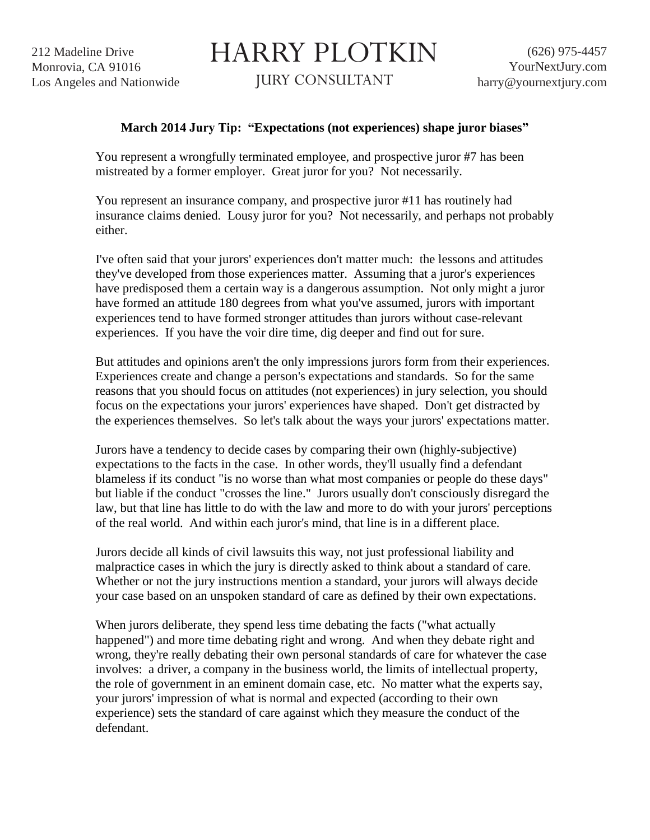212 Madeline Drive Monrovia, CA 91016 Los Angeles and Nationwide HARRY PLOTKIN

JURY CONSULTANT

## **March 2014 Jury Tip: "Expectations (not experiences) shape juror biases"**

You represent a wrongfully terminated employee, and prospective juror #7 has been mistreated by a former employer. Great juror for you? Not necessarily.

You represent an insurance company, and prospective juror #11 has routinely had insurance claims denied. Lousy juror for you? Not necessarily, and perhaps not probably either.

I've often said that your jurors' experiences don't matter much: the lessons and attitudes they've developed from those experiences matter. Assuming that a juror's experiences have predisposed them a certain way is a dangerous assumption. Not only might a juror have formed an attitude 180 degrees from what you've assumed, jurors with important experiences tend to have formed stronger attitudes than jurors without case-relevant experiences. If you have the voir dire time, dig deeper and find out for sure.

But attitudes and opinions aren't the only impressions jurors form from their experiences. Experiences create and change a person's expectations and standards. So for the same reasons that you should focus on attitudes (not experiences) in jury selection, you should focus on the expectations your jurors' experiences have shaped. Don't get distracted by the experiences themselves. So let's talk about the ways your jurors' expectations matter.

Jurors have a tendency to decide cases by comparing their own (highly-subjective) expectations to the facts in the case. In other words, they'll usually find a defendant blameless if its conduct "is no worse than what most companies or people do these days" but liable if the conduct "crosses the line." Jurors usually don't consciously disregard the law, but that line has little to do with the law and more to do with your jurors' perceptions of the real world. And within each juror's mind, that line is in a different place.

Jurors decide all kinds of civil lawsuits this way, not just professional liability and malpractice cases in which the jury is directly asked to think about a standard of care. Whether or not the jury instructions mention a standard, your jurors will always decide your case based on an unspoken standard of care as defined by their own expectations.

When jurors deliberate, they spend less time debating the facts ("what actually happened") and more time debating right and wrong. And when they debate right and wrong, they're really debating their own personal standards of care for whatever the case involves: a driver, a company in the business world, the limits of intellectual property, the role of government in an eminent domain case, etc. No matter what the experts say, your jurors' impression of what is normal and expected (according to their own experience) sets the standard of care against which they measure the conduct of the defendant.